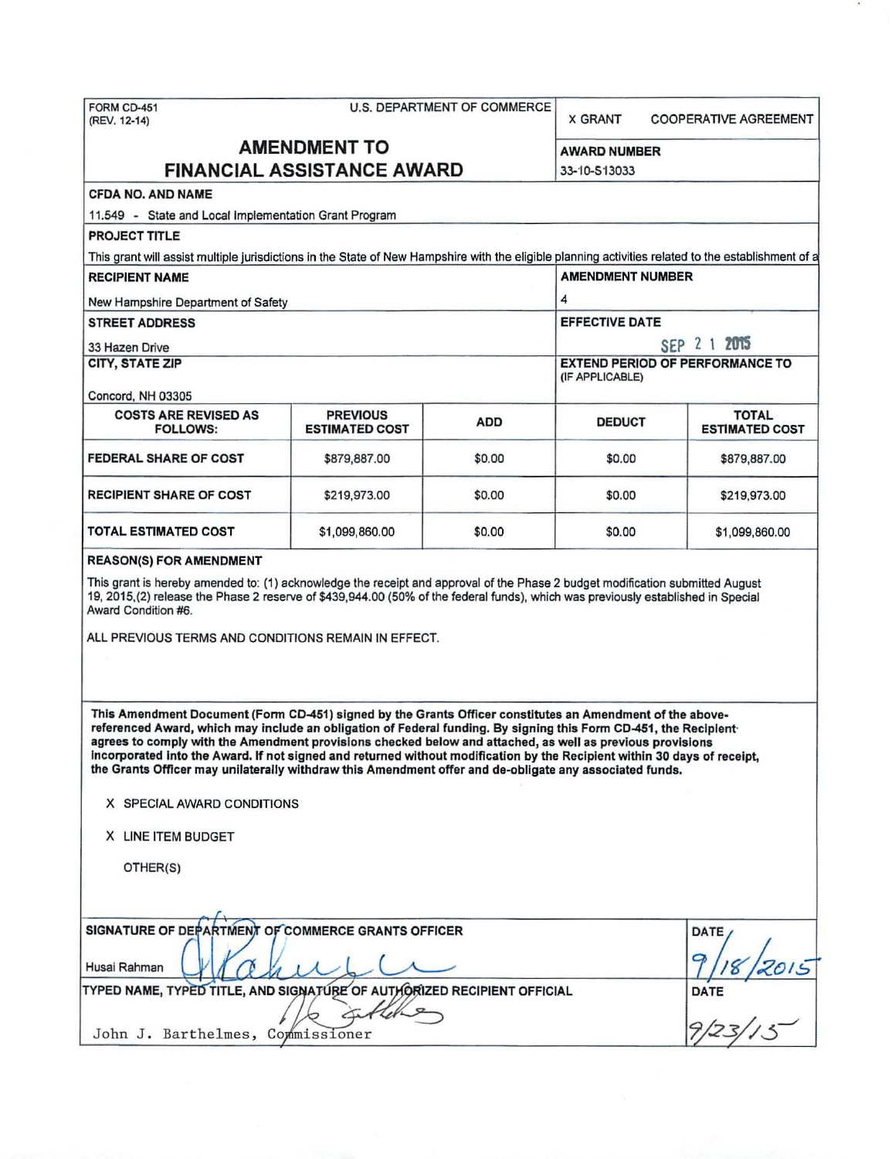| FORM CD-451<br>(REV. 12-14)                                                                                                                                                                                                                                                                                                                                                                                                                                                                                                                                                                                                                                                                                                                                                                                                                                                                                                                                                                          | <b>U.S. DEPARTMENT OF COMMERCE</b> |            |                                        | <b>COOPERATIVE AGREEMENT</b> |  |  |  |  |
|------------------------------------------------------------------------------------------------------------------------------------------------------------------------------------------------------------------------------------------------------------------------------------------------------------------------------------------------------------------------------------------------------------------------------------------------------------------------------------------------------------------------------------------------------------------------------------------------------------------------------------------------------------------------------------------------------------------------------------------------------------------------------------------------------------------------------------------------------------------------------------------------------------------------------------------------------------------------------------------------------|------------------------------------|------------|----------------------------------------|------------------------------|--|--|--|--|
| <b>AMENDMENT TO</b>                                                                                                                                                                                                                                                                                                                                                                                                                                                                                                                                                                                                                                                                                                                                                                                                                                                                                                                                                                                  |                                    |            | <b>AWARD NUMBER</b>                    |                              |  |  |  |  |
| <b>FINANCIAL ASSISTANCE AWARD</b><br>33-10-513033                                                                                                                                                                                                                                                                                                                                                                                                                                                                                                                                                                                                                                                                                                                                                                                                                                                                                                                                                    |                                    |            |                                        |                              |  |  |  |  |
| <b>CFDA NO. AND NAME</b>                                                                                                                                                                                                                                                                                                                                                                                                                                                                                                                                                                                                                                                                                                                                                                                                                                                                                                                                                                             |                                    |            |                                        |                              |  |  |  |  |
| 11.549 - State and Local Implementation Grant Program                                                                                                                                                                                                                                                                                                                                                                                                                                                                                                                                                                                                                                                                                                                                                                                                                                                                                                                                                |                                    |            |                                        |                              |  |  |  |  |
| <b>PROJECT TITLE</b>                                                                                                                                                                                                                                                                                                                                                                                                                                                                                                                                                                                                                                                                                                                                                                                                                                                                                                                                                                                 |                                    |            |                                        |                              |  |  |  |  |
| This grant will assist multiple jurisdictions in the State of New Hampshire with the eligible planning activities related to the establishment of a                                                                                                                                                                                                                                                                                                                                                                                                                                                                                                                                                                                                                                                                                                                                                                                                                                                  |                                    |            |                                        |                              |  |  |  |  |
| <b>RECIPIENT NAME</b>                                                                                                                                                                                                                                                                                                                                                                                                                                                                                                                                                                                                                                                                                                                                                                                                                                                                                                                                                                                | <b>AMENDMENT NUMBER</b>            |            |                                        |                              |  |  |  |  |
| New Hampshire Department of Safety                                                                                                                                                                                                                                                                                                                                                                                                                                                                                                                                                                                                                                                                                                                                                                                                                                                                                                                                                                   | 4                                  |            |                                        |                              |  |  |  |  |
| <b>STREET ADDRESS</b>                                                                                                                                                                                                                                                                                                                                                                                                                                                                                                                                                                                                                                                                                                                                                                                                                                                                                                                                                                                | <b>EFFECTIVE DATE</b>              |            |                                        |                              |  |  |  |  |
| 33 Hazen Drive                                                                                                                                                                                                                                                                                                                                                                                                                                                                                                                                                                                                                                                                                                                                                                                                                                                                                                                                                                                       |                                    |            |                                        | SEP 2 1 2015                 |  |  |  |  |
| <b>CITY, STATE ZIP</b>                                                                                                                                                                                                                                                                                                                                                                                                                                                                                                                                                                                                                                                                                                                                                                                                                                                                                                                                                                               |                                    |            | <b>EXTEND PERIOD OF PERFORMANCE TO</b> |                              |  |  |  |  |
|                                                                                                                                                                                                                                                                                                                                                                                                                                                                                                                                                                                                                                                                                                                                                                                                                                                                                                                                                                                                      |                                    |            | (IF APPLICABLE)                        |                              |  |  |  |  |
| Concord, NH 03305<br><b>COSTS ARE REVISED AS</b>                                                                                                                                                                                                                                                                                                                                                                                                                                                                                                                                                                                                                                                                                                                                                                                                                                                                                                                                                     | <b>PREVIOUS</b>                    |            |                                        | <b>TOTAL</b>                 |  |  |  |  |
| <b>FOLLOWS:</b>                                                                                                                                                                                                                                                                                                                                                                                                                                                                                                                                                                                                                                                                                                                                                                                                                                                                                                                                                                                      | <b>ESTIMATED COST</b>              | <b>ADD</b> | <b>DEDUCT</b>                          | <b>ESTIMATED COST</b>        |  |  |  |  |
| FEDERAL SHARE OF COST                                                                                                                                                                                                                                                                                                                                                                                                                                                                                                                                                                                                                                                                                                                                                                                                                                                                                                                                                                                | \$879,887.00                       | \$0.00     | \$0.00                                 | \$879,887.00                 |  |  |  |  |
| <b>RECIPIENT SHARE OF COST</b>                                                                                                                                                                                                                                                                                                                                                                                                                                                                                                                                                                                                                                                                                                                                                                                                                                                                                                                                                                       | \$219,973.00                       | \$0.00     | \$0.00                                 | \$219,973.00                 |  |  |  |  |
| TOTAL ESTIMATED COST                                                                                                                                                                                                                                                                                                                                                                                                                                                                                                                                                                                                                                                                                                                                                                                                                                                                                                                                                                                 | \$1,099,860.00                     | \$0.00     | \$0.00                                 | \$1,099,860.00               |  |  |  |  |
| This grant is hereby amended to: (1) acknowledge the receipt and approval of the Phase 2 budget modification submitted August<br>19, 2015,(2) release the Phase 2 reserve of \$439,944.00 (50% of the federal funds), which was previously established in Special<br>Award Condition #6.<br>ALL PREVIOUS TERMS AND CONDITIONS REMAIN IN EFFECT.<br>This Amendment Document (Form CD-451) signed by the Grants Officer constitutes an Amendment of the above-<br>referenced Award, which may include an obligation of Federal funding. By signing this Form CD-451, the Recipient<br>agrees to comply with the Amendment provisions checked below and attached, as well as previous provisions<br>incorporated into the Award. If not signed and returned without modification by the Recipient within 30 days of receipt,<br>the Grants Officer may unilaterally withdraw this Amendment offer and de-obligate any associated funds.<br>X SPECIAL AWARD CONDITIONS<br>X LINE ITEM BUDGET<br>OTHER(S) |                                    |            |                                        |                              |  |  |  |  |
| SIGNATURE OF DEPARTMENT OF COMMERCE GRANTS OFFICER<br>Husai Rahman                                                                                                                                                                                                                                                                                                                                                                                                                                                                                                                                                                                                                                                                                                                                                                                                                                                                                                                                   | <b>DATE</b>                        |            |                                        |                              |  |  |  |  |
| TYPED NAME, TYPED TITLE, AND SIGNATURE OF AUTHORIZED RECIPIENT OFFICIAL                                                                                                                                                                                                                                                                                                                                                                                                                                                                                                                                                                                                                                                                                                                                                                                                                                                                                                                              | <b>DATE</b>                        |            |                                        |                              |  |  |  |  |
|                                                                                                                                                                                                                                                                                                                                                                                                                                                                                                                                                                                                                                                                                                                                                                                                                                                                                                                                                                                                      |                                    |            |                                        |                              |  |  |  |  |
| John J. Barthelmes, Commissioner                                                                                                                                                                                                                                                                                                                                                                                                                                                                                                                                                                                                                                                                                                                                                                                                                                                                                                                                                                     |                                    |            |                                        |                              |  |  |  |  |